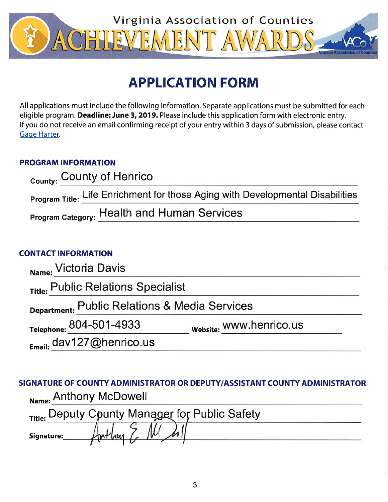

# **APPLICATION FORM**

All applications must include the following information. Separate applications must be submitted for each eligible program. Deadline: June 3, 2019. Please include this application form with electronic entry. If you do not receive an email confirming receipt of your entry within 3 days of submission, please contact Gage Harter.

### **PROGRAM INFORMATION**

| <sub>County:</sub> County of Henrico                                           |  |
|--------------------------------------------------------------------------------|--|
| Program Title: Life Enrichment for those Aging with Developmental Disabilities |  |
| <b>Program Category: Health and Human Services</b>                             |  |

## **CONTACT INFORMATION**

| Name: Victoria Davis                          |                         |
|-----------------------------------------------|-------------------------|
| Title: Public Relations Specialist            |                         |
| Department: Public Relations & Media Services |                         |
| Telephone: 804-501-4933                       | website: WWW.henrico.us |
| Email: dav127@henrico.us                      |                         |

## SIGNATURE OF COUNTY ADMINISTRATOR OR DEPUTY/ASSISTANT COUNTY ADMINISTRATOR Name: Anthony McDowell

|            |  | Title: Deputy Cpunty Manager for Public Safety |  |
|------------|--|------------------------------------------------|--|
| Signature: |  |                                                |  |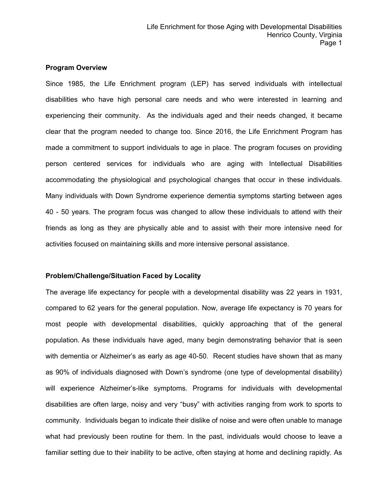#### **Program Overview**

Since 1985, the Life Enrichment program (LEP) has served individuals with intellectual disabilities who have high personal care needs and who were interested in learning and experiencing their community. As the individuals aged and their needs changed, it became clear that the program needed to change too. Since 2016, the Life Enrichment Program has made a commitment to support individuals to age in place. The program focuses on providing person centered services for individuals who are aging with Intellectual Disabilities accommodating the physiological and psychological changes that occur in these individuals. Many individuals with Down Syndrome experience dementia symptoms starting between ages 40 - 50 years. The program focus was changed to allow these individuals to attend with their friends as long as they are physically able and to assist with their more intensive need for activities focused on maintaining skills and more intensive personal assistance.

#### **Problem/Challenge/Situation Faced by Locality**

The average life expectancy for people with a developmental disability was 22 years in 1931, compared to 62 years for the general population. Now, average life expectancy is 70 years for most people with developmental disabilities, quickly approaching that of the general population. As these individuals have aged, many begin demonstrating behavior that is seen with dementia or Alzheimer's as early as age 40-50. Recent studies have shown that as many as 90% of individuals diagnosed with Down's syndrome (one type of developmental disability) will experience Alzheimer's-like symptoms. Programs for individuals with developmental disabilities are often large, noisy and very "busy" with activities ranging from work to sports to community. Individuals began to indicate their dislike of noise and were often unable to manage what had previously been routine for them. In the past, individuals would choose to leave a familiar setting due to their inability to be active, often staying at home and declining rapidly. As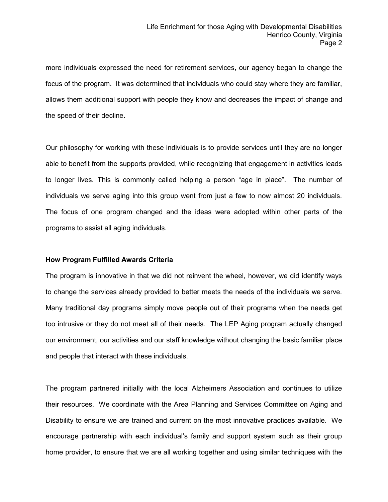more individuals expressed the need for retirement services, our agency began to change the focus of the program. It was determined that individuals who could stay where they are familiar, allows them additional support with people they know and decreases the impact of change and the speed of their decline.

Our philosophy for working with these individuals is to provide services until they are no longer able to benefit from the supports provided, while recognizing that engagement in activities leads to longer lives. This is commonly called helping a person "age in place". The number of individuals we serve aging into this group went from just a few to now almost 20 individuals. The focus of one program changed and the ideas were adopted within other parts of the programs to assist all aging individuals.

#### **How Program Fulfilled Awards Criteria**

The program is innovative in that we did not reinvent the wheel, however, we did identify ways to change the services already provided to better meets the needs of the individuals we serve. Many traditional day programs simply move people out of their programs when the needs get too intrusive or they do not meet all of their needs. The LEP Aging program actually changed our environment, our activities and our staff knowledge without changing the basic familiar place and people that interact with these individuals.

The program partnered initially with the local Alzheimers Association and continues to utilize their resources. We coordinate with the Area Planning and Services Committee on Aging and Disability to ensure we are trained and current on the most innovative practices available. We encourage partnership with each individual's family and support system such as their group home provider, to ensure that we are all working together and using similar techniques with the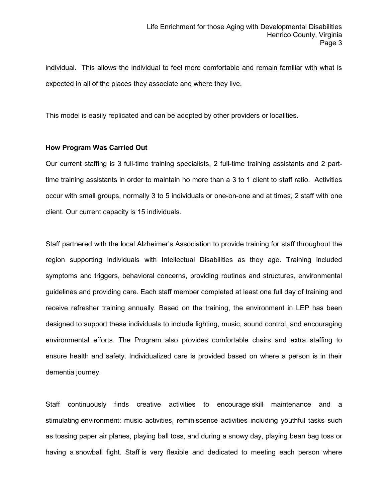individual. This allows the individual to feel more comfortable and remain familiar with what is expected in all of the places they associate and where they live.

This model is easily replicated and can be adopted by other providers or localities.

#### **How Program Was Carried Out**

Our current staffing is 3 full-time training specialists, 2 full-time training assistants and 2 parttime training assistants in order to maintain no more than a 3 to 1 client to staff ratio. Activities occur with small groups, normally 3 to 5 individuals or one-on-one and at times, 2 staff with one client. Our current capacity is 15 individuals.

Staff partnered with the local Alzheimer's Association to provide training for staff throughout the region supporting individuals with Intellectual Disabilities as they age. Training included symptoms and triggers, behavioral concerns, providing routines and structures, environmental guidelines and providing care. Each staff member completed at least one full day of training and receive refresher training annually. Based on the training, the environment in LEP has been designed to support these individuals to include lighting, music, sound control, and encouraging environmental efforts. The Program also provides comfortable chairs and extra staffing to ensure health and safety. Individualized care is provided based on where a person is in their dementia journey.

Staff continuously finds creative activities to encourage skill maintenance and a stimulating environment: music activities, reminiscence activities including youthful tasks such as tossing paper air planes, playing ball toss, and during a snowy day, playing bean bag toss or having a snowball fight. Staff is very flexible and dedicated to meeting each person where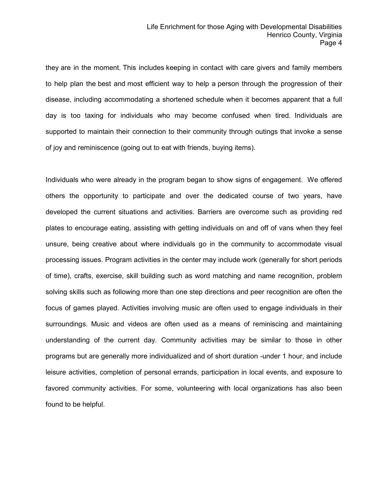they are in the moment. This includes keeping in contact with care givers and family members to help plan the best and most efficient way to help a person through the progression of their disease, including accommodating a shortened schedule when it becomes apparent that a full day is too taxing for individuals who may become confused when tired. Individuals are supported to maintain their connection to their community through outings that invoke a sense of joy and reminiscence (going out to eat with friends, buying items).

Individuals who were already in the program began to show signs of engagement. We offered others the opportunity to participate and over the dedicated course of two years, have developed the current situations and activities. Barriers are overcome such as providing red plates to encourage eating, assisting with getting individuals on and off of vans when they feel unsure, being creative about where individuals go in the community to accommodate visual processing issues. Program activities in the center may include work (generally for short periods of time), crafts, exercise, skill building such as word matching and name recognition, problem solving skills such as following more than one step directions and peer recognition are often the focus of games played. Activities involving music are often used to engage individuals in their surroundings. Music and videos are often used as a means of reminiscing and maintaining understanding of the current day. Community activities may be similar to those in other programs but are generally more individualized and of short duration -under 1 hour, and include leisure activities, completion of personal errands, participation in local events, and exposure to favored community activities. For some, volunteering with local organizations has also been found to be helpful.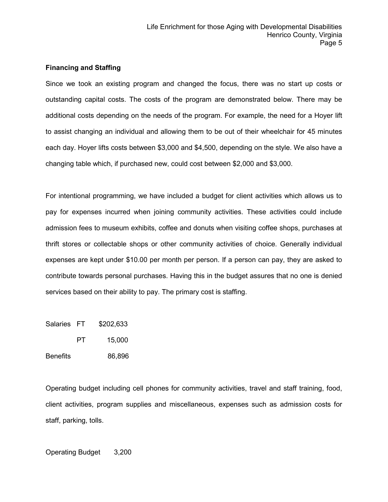#### **Financing and Staffing**

Since we took an existing program and changed the focus, there was no start up costs or outstanding capital costs. The costs of the program are demonstrated below. There may be additional costs depending on the needs of the program. For example, the need for a Hoyer lift to assist changing an individual and allowing them to be out of their wheelchair for 45 minutes each day. Hoyer lifts costs between \$3,000 and \$4,500, depending on the style. We also have a changing table which, if purchased new, could cost between \$2,000 and \$3,000.

For intentional programming, we have included a budget for client activities which allows us to pay for expenses incurred when joining community activities. These activities could include admission fees to museum exhibits, coffee and donuts when visiting coffee shops, purchases at thrift stores or collectable shops or other community activities of choice. Generally individual expenses are kept under \$10.00 per month per person. If a person can pay, they are asked to contribute towards personal purchases. Having this in the budget assures that no one is denied services based on their ability to pay. The primary cost is staffing.

Salaries FT \$202,633

PT 15,000

Benefits 86,896

Operating budget including cell phones for community activities, travel and staff training, food, client activities, program supplies and miscellaneous, expenses such as admission costs for staff, parking, tolls.

Operating Budget 3,200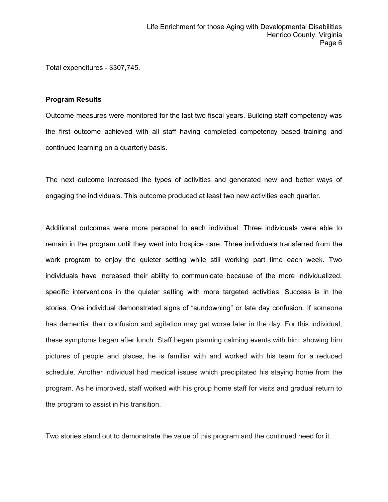Total expenditures - \$307,745.

#### **Program Results**

Outcome measures were monitored for the last two fiscal years. Building staff competency was the first outcome achieved with all staff having completed competency based training and continued learning on a quarterly basis.

The next outcome increased the types of activities and generated new and better ways of engaging the individuals. This outcome produced at least two new activities each quarter.

Additional outcomes were more personal to each individual. Three individuals were able to remain in the program until they went into hospice care. Three individuals transferred from the work program to enjoy the quieter setting while still working part time each week. Two individuals have increased their ability to communicate because of the more individualized, specific interventions in the quieter setting with more targeted activities. Success is in the stories. One individual demonstrated signs of "sundowning" or late day confusion. If someone has dementia, their confusion and agitation may get worse later in the day. For this individual, these symptoms began after lunch. Staff began planning calming events with him, showing him pictures of people and places, he is familiar with and worked with his team for a reduced schedule. Another individual had medical issues which precipitated his staying home from the program. As he improved, staff worked with his group home staff for visits and gradual return to the program to assist in his transition.

Two stories stand out to demonstrate the value of this program and the continued need for it.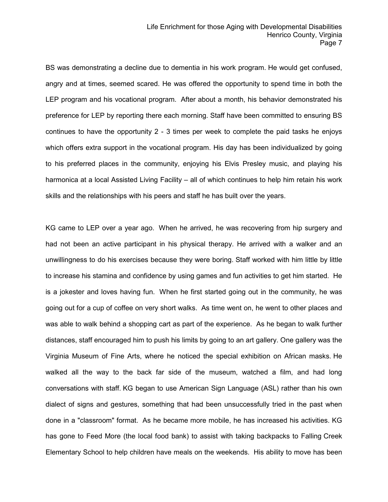BS was demonstrating a decline due to dementia in his work program. He would get confused, angry and at times, seemed scared. He was offered the opportunity to spend time in both the LEP program and his vocational program. After about a month, his behavior demonstrated his preference for LEP by reporting there each morning. Staff have been committed to ensuring BS continues to have the opportunity 2 - 3 times per week to complete the paid tasks he enjoys which offers extra support in the vocational program. His day has been individualized by going to his preferred places in the community, enjoying his Elvis Presley music, and playing his harmonica at a local Assisted Living Facility – all of which continues to help him retain his work skills and the relationships with his peers and staff he has built over the years.

KG came to LEP over a year ago. When he arrived, he was recovering from hip surgery and had not been an active participant in his physical therapy. He arrived with a walker and an unwillingness to do his exercises because they were boring. Staff worked with him little by little to increase his stamina and confidence by using games and fun activities to get him started. He is a jokester and loves having fun. When he first started going out in the community, he was going out for a cup of coffee on very short walks. As time went on, he went to other places and was able to walk behind a shopping cart as part of the experience. As he began to walk further distances, staff encouraged him to push his limits by going to an art gallery. One gallery was the Virginia Museum of Fine Arts, where he noticed the special exhibition on African masks. He walked all the way to the back far side of the museum, watched a film, and had long conversations with staff. KG began to use American Sign Language (ASL) rather than his own dialect of signs and gestures, something that had been unsuccessfully tried in the past when done in a "classroom" format. As he became more mobile, he has increased his activities. KG has gone to Feed More (the local food bank) to assist with taking backpacks to Falling Creek Elementary School to help children have meals on the weekends. His ability to move has been